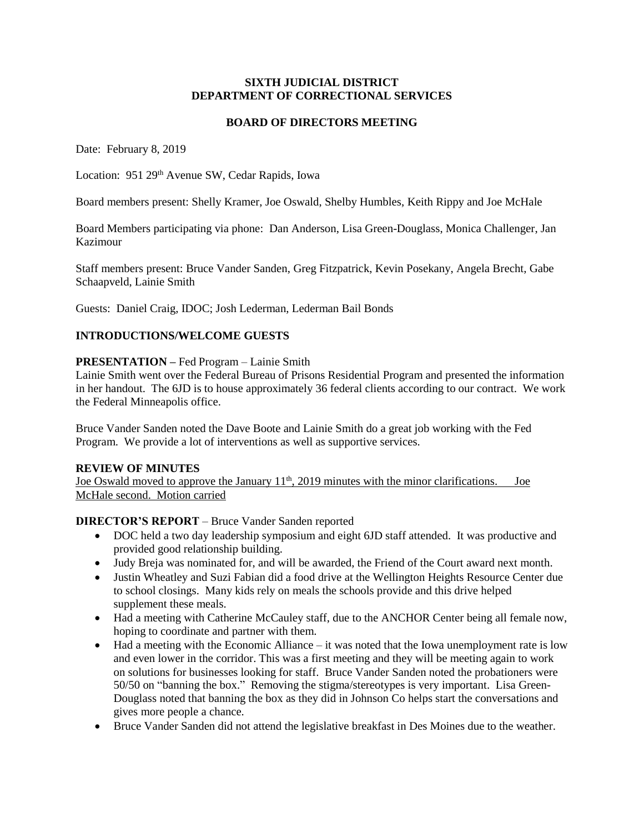#### **SIXTH JUDICIAL DISTRICT DEPARTMENT OF CORRECTIONAL SERVICES**

#### **BOARD OF DIRECTORS MEETING**

Date: February 8, 2019

Location: 951 29<sup>th</sup> Avenue SW, Cedar Rapids, Iowa

Board members present: Shelly Kramer, Joe Oswald, Shelby Humbles, Keith Rippy and Joe McHale

Board Members participating via phone: Dan Anderson, Lisa Green-Douglass, Monica Challenger, Jan Kazimour

Staff members present: Bruce Vander Sanden, Greg Fitzpatrick, Kevin Posekany, Angela Brecht, Gabe Schaapveld, Lainie Smith

Guests: Daniel Craig, IDOC; Josh Lederman, Lederman Bail Bonds

# **INTRODUCTIONS/WELCOME GUESTS**

#### **PRESENTATION –** Fed Program – Lainie Smith

Lainie Smith went over the Federal Bureau of Prisons Residential Program and presented the information in her handout. The 6JD is to house approximately 36 federal clients according to our contract. We work the Federal Minneapolis office.

Bruce Vander Sanden noted the Dave Boote and Lainie Smith do a great job working with the Fed Program. We provide a lot of interventions as well as supportive services.

#### **REVIEW OF MINUTES**

Joe Oswald moved to approve the January  $11<sup>th</sup>$ , 2019 minutes with the minor clarifications. Joe McHale second. Motion carried

#### **DIRECTOR'S REPORT** – Bruce Vander Sanden reported

- DOC held a two day leadership symposium and eight 6JD staff attended. It was productive and provided good relationship building.
- Judy Breja was nominated for, and will be awarded, the Friend of the Court award next month.
- Justin Wheatley and Suzi Fabian did a food drive at the Wellington Heights Resource Center due to school closings. Many kids rely on meals the schools provide and this drive helped supplement these meals.
- Had a meeting with Catherine McCauley staff, due to the ANCHOR Center being all female now, hoping to coordinate and partner with them.
- $\bullet$  Had a meeting with the Economic Alliance it was noted that the Iowa unemployment rate is low and even lower in the corridor. This was a first meeting and they will be meeting again to work on solutions for businesses looking for staff. Bruce Vander Sanden noted the probationers were 50/50 on "banning the box." Removing the stigma/stereotypes is very important. Lisa Green-Douglass noted that banning the box as they did in Johnson Co helps start the conversations and gives more people a chance.
- Bruce Vander Sanden did not attend the legislative breakfast in Des Moines due to the weather.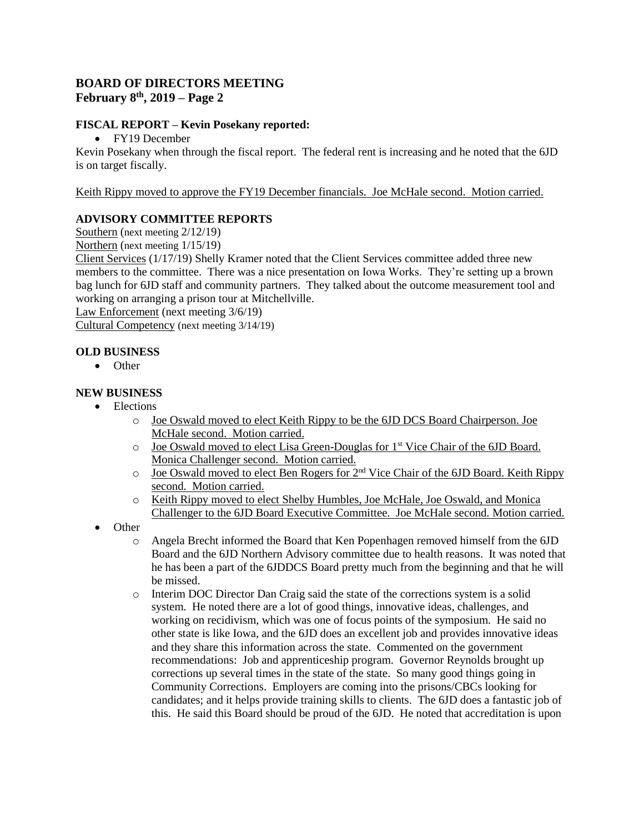# **BOARD OF DIRECTORS MEETING February 8th, 2019 – Page 2**

# **FISCAL REPORT – Kevin Posekany reported:**

• FY19 December

Kevin Posekany when through the fiscal report. The federal rent is increasing and he noted that the 6JD is on target fiscally.

Keith Rippy moved to approve the FY19 December financials. Joe McHale second. Motion carried.

# **ADVISORY COMMITTEE REPORTS**

Southern (next meeting 2/12/19)

Northern (next meeting 1/15/19)

Client Services (1/17/19) Shelly Kramer noted that the Client Services committee added three new members to the committee. There was a nice presentation on Iowa Works. They're setting up a brown bag lunch for 6JD staff and community partners. They talked about the outcome measurement tool and working on arranging a prison tour at Mitchellville.

Law Enforcement (next meeting 3/6/19)

Cultural Competency (next meeting 3/14/19)

#### **OLD BUSINESS**

• Other

# **NEW BUSINESS**

- Elections
	- o Joe Oswald moved to elect Keith Rippy to be the 6JD DCS Board Chairperson. Joe McHale second. Motion carried.
	- $\overline{O}$  Joe Oswald moved to elect Lisa Green-Douglas for 1<sup>st</sup> Vice Chair of the 6JD Board. Monica Challenger second. Motion carried.
	- o Joe Oswald moved to elect Ben Rogers for 2<sup>nd</sup> Vice Chair of the 6JD Board. Keith Rippy second. Motion carried.
	- o Keith Rippy moved to elect Shelby Humbles, Joe McHale, Joe Oswald, and Monica Challenger to the 6JD Board Executive Committee. Joe McHale second. Motion carried.
- Other
	- o Angela Brecht informed the Board that Ken Popenhagen removed himself from the 6JD Board and the 6JD Northern Advisory committee due to health reasons. It was noted that he has been a part of the 6JDDCS Board pretty much from the beginning and that he will be missed.
	- o Interim DOC Director Dan Craig said the state of the corrections system is a solid system. He noted there are a lot of good things, innovative ideas, challenges, and working on recidivism, which was one of focus points of the symposium. He said no other state is like Iowa, and the 6JD does an excellent job and provides innovative ideas and they share this information across the state. Commented on the government recommendations: Job and apprenticeship program. Governor Reynolds brought up corrections up several times in the state of the state. So many good things going in Community Corrections. Employers are coming into the prisons/CBCs looking for candidates; and it helps provide training skills to clients. The 6JD does a fantastic job of this. He said this Board should be proud of the 6JD. He noted that accreditation is upon